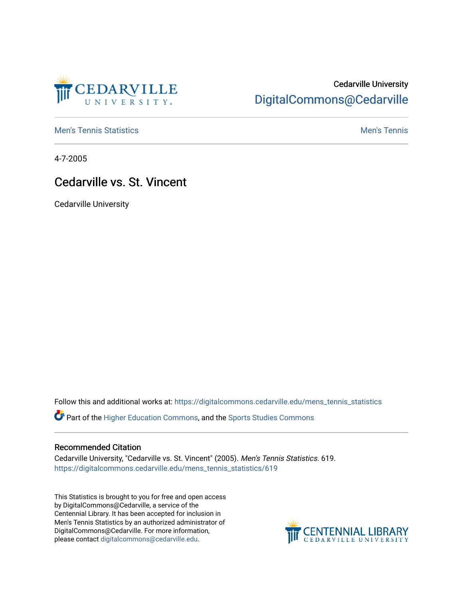

## Cedarville University [DigitalCommons@Cedarville](https://digitalcommons.cedarville.edu/)

**[Men's Tennis Statistics](https://digitalcommons.cedarville.edu/mens_tennis_statistics) Mental According to the Control of Control According Mental Men's Tennis** 

4-7-2005

## Cedarville vs. St. Vincent

Cedarville University

Follow this and additional works at: [https://digitalcommons.cedarville.edu/mens\\_tennis\\_statistics](https://digitalcommons.cedarville.edu/mens_tennis_statistics?utm_source=digitalcommons.cedarville.edu%2Fmens_tennis_statistics%2F619&utm_medium=PDF&utm_campaign=PDFCoverPages)

Part of the [Higher Education Commons,](http://network.bepress.com/hgg/discipline/1245?utm_source=digitalcommons.cedarville.edu%2Fmens_tennis_statistics%2F619&utm_medium=PDF&utm_campaign=PDFCoverPages) and the [Sports Studies Commons](http://network.bepress.com/hgg/discipline/1198?utm_source=digitalcommons.cedarville.edu%2Fmens_tennis_statistics%2F619&utm_medium=PDF&utm_campaign=PDFCoverPages) 

## Recommended Citation

Cedarville University, "Cedarville vs. St. Vincent" (2005). Men's Tennis Statistics. 619. [https://digitalcommons.cedarville.edu/mens\\_tennis\\_statistics/619](https://digitalcommons.cedarville.edu/mens_tennis_statistics/619?utm_source=digitalcommons.cedarville.edu%2Fmens_tennis_statistics%2F619&utm_medium=PDF&utm_campaign=PDFCoverPages) 

This Statistics is brought to you for free and open access by DigitalCommons@Cedarville, a service of the Centennial Library. It has been accepted for inclusion in Men's Tennis Statistics by an authorized administrator of DigitalCommons@Cedarville. For more information, please contact [digitalcommons@cedarville.edu](mailto:digitalcommons@cedarville.edu).